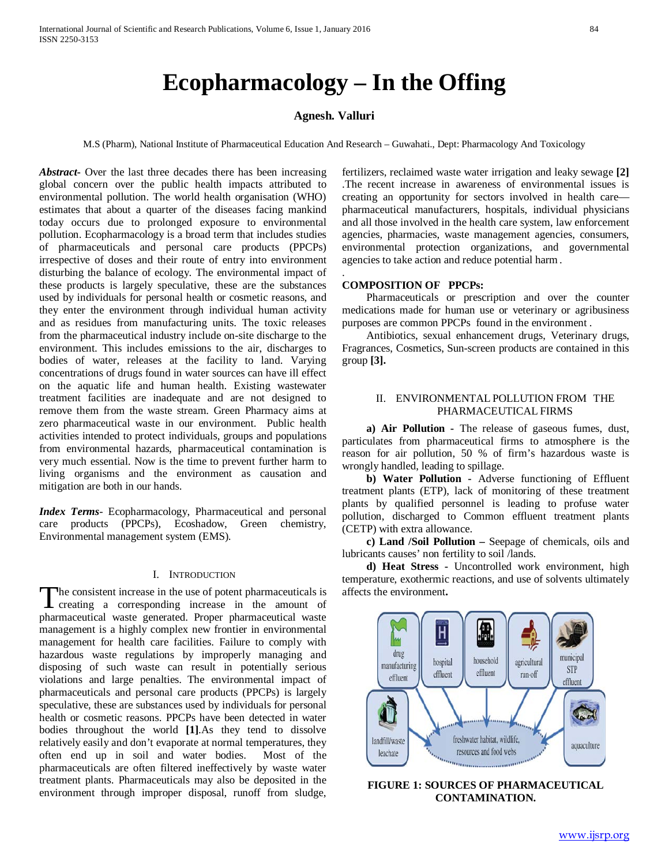# **Ecopharmacology – In the Offing**

## **Agnesh. Valluri**

M.S (Pharm), National Institute of Pharmaceutical Education And Research – Guwahati., Dept: Pharmacology And Toxicology

.

*Abstract***-** Over the last three decades there has been increasing global concern over the public health impacts attributed to environmental pollution. The world health organisation (WHO) estimates that about a quarter of the diseases facing mankind today occurs due to prolonged exposure to environmental pollution. Ecopharmacology is a broad term that includes studies of pharmaceuticals and personal care products (PPCPs) irrespective of doses and their route of entry into environment disturbing the balance of ecology. The environmental impact of these products is largely speculative, these are the substances used by individuals for personal health or cosmetic reasons, and they enter the environment through individual human activity and as residues from manufacturing units. The toxic releases from the pharmaceutical industry include on-site discharge to the environment. This includes emissions to the air, discharges to bodies of water, releases at the facility to land. Varying concentrations of drugs found in water sources can have ill effect on the aquatic life and human health. Existing wastewater treatment facilities are inadequate and are not designed to remove them from the waste stream. Green Pharmacy aims at zero pharmaceutical waste in our environment. Public health activities intended to protect individuals, groups and populations from environmental hazards, pharmaceutical contamination is very much essential. Now is the time to prevent further harm to living organisms and the environment as causation and mitigation are both in our hands.

*Index Terms*- Ecopharmacology, Pharmaceutical and personal care products (PPCPs), Ecoshadow, Green chemistry, Environmental management system (EMS).

#### I. INTRODUCTION

he consistent increase in the use of potent pharmaceuticals is The consistent increase in the use of potent pharmaceuticals is<br>creating a corresponding increase in the amount of pharmaceutical waste generated. Proper pharmaceutical waste management is a highly complex new frontier in environmental management for health care facilities. Failure to comply with hazardous waste regulations by improperly managing and disposing of such waste can result in potentially serious violations and large penalties. The environmental impact of pharmaceuticals and personal care products (PPCPs) is largely speculative, these are substances used by individuals for personal health or cosmetic reasons. PPCPs have been detected in water bodies throughout the world **[1]**.As they tend to dissolve relatively easily and don't evaporate at normal temperatures, they often end up in soil and water bodies. Most of the pharmaceuticals are often filtered ineffectively by waste water treatment plants. Pharmaceuticals may also be deposited in the environment through improper disposal, runoff from sludge,

fertilizers, reclaimed waste water irrigation and leaky sewage **[2]** .The recent increase in awareness of environmental issues is creating an opportunity for sectors involved in health care pharmaceutical manufacturers, hospitals, individual physicians and all those involved in the health care system, law enforcement agencies, pharmacies, waste management agencies, consumers, environmental protection organizations, and governmental agencies to take action and reduce potential harm.

#### **COMPOSITION OF PPCPs:**

 Pharmaceuticals or prescription and over the counter medications made for human use or veterinary or agribusiness purposes are common PPCPs found in the environment .

 Antibiotics, sexual enhancement drugs, Veterinary drugs, Fragrances, Cosmetics, Sun-screen products are contained in this group **[3].**

### II. ENVIRONMENTAL POLLUTION FROM THE PHARMACEUTICAL FIRMS

 **a) Air Pollution -** The release of gaseous fumes, dust, particulates from pharmaceutical firms to atmosphere is the reason for air pollution, 50 % of firm's hazardous waste is wrongly handled, leading to spillage.

 **b) Water Pollution -** Adverse functioning of Effluent treatment plants (ETP), lack of monitoring of these treatment plants by qualified personnel is leading to profuse water pollution, discharged to Common effluent treatment plants (CETP) with extra allowance.

 **c) Land /Soil Pollution –** Seepage of chemicals, oils and lubricants causes' non fertility to soil /lands.

 **d) Heat Stress -** Uncontrolled work environment, high temperature, exothermic reactions, and use of solvents ultimately affects the environment**.** 



**FIGURE 1: SOURCES OF PHARMACEUTICAL CONTAMINATION.**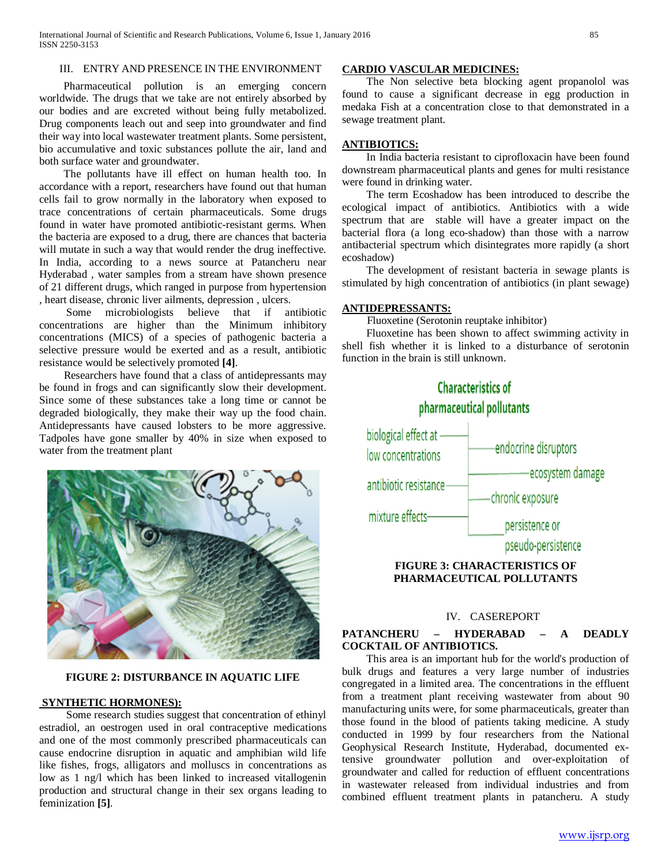#### III. ENTRY AND PRESENCE IN THE ENVIRONMENT

 Pharmaceutical pollution is an emerging concern worldwide. The drugs that we take are not entirely absorbed by our bodies and are excreted without being fully metabolized. Drug components leach out and seep into groundwater and find their way into local wastewater treatment plants. Some persistent, bio accumulative and toxic substances pollute the air, land and both surface water and groundwater.

 The pollutants have ill effect on human health too. In accordance with a report, researchers have found out that human cells fail to grow normally in the laboratory when exposed to trace concentrations of certain pharmaceuticals. Some drugs found in water have promoted antibiotic-resistant germs. When the bacteria are exposed to a drug, there are chances that bacteria will mutate in such a way that would render the drug ineffective. In India, according to a news source at Patancheru near Hyderabad , water samples from a stream have shown presence of 21 different drugs, which ranged in purpose from hypertension , heart disease, chronic liver ailments, depression , ulcers.

 Some microbiologists believe that if antibiotic concentrations are higher than the Minimum inhibitory concentrations (MICS) of a species of pathogenic bacteria a selective pressure would be exerted and as a result, antibiotic resistance would be selectively promoted **[4]**.

 Researchers have found that a class of antidepressants may be found in frogs and can significantly slow their development. Since some of these substances take a long time or cannot be degraded biologically, they make their way up the food chain. Antidepressants have caused lobsters to be more aggressive. Tadpoles have gone smaller by 40% in size when exposed to water from the treatment plant



## **FIGURE 2: DISTURBANCE IN AQUATIC LIFE**

## **SYNTHETIC HORMONES):**

 Some research studies suggest that concentration of ethinyl estradiol, an oestrogen used in oral contraceptive medications and one of the most commonly prescribed pharmaceuticals can cause endocrine disruption in aquatic and amphibian wild life like fishes, frogs, alligators and molluscs in concentrations as low as 1 ng/l which has been linked to increased vitallogenin production and structural change in their sex organs leading to feminization **[5]**.

#### **CARDIO VASCULAR MEDICINES:**

 The Non selective beta blocking agent propanolol was found to cause a significant decrease in egg production in medaka Fish at a concentration close to that demonstrated in a sewage treatment plant.

# **ANTIBIOTICS:**

 In India bacteria resistant to ciprofloxacin have been found downstream pharmaceutical plants and genes for multi resistance were found in drinking water.

 The term Ecoshadow has been introduced to describe the ecological impact of antibiotics. Antibiotics with a wide spectrum that are stable will have a greater impact on the bacterial flora (a long eco-shadow) than those with a narrow antibacterial spectrum which disintegrates more rapidly (a short ecoshadow)

 The development of resistant bacteria in sewage plants is stimulated by high concentration of antibiotics (in plant sewage)

# **ANTIDEPRESSANTS:**

Fluoxetine (Serotonin reuptake inhibitor)

 Fluoxetine has been shown to affect swimming activity in shell fish whether it is linked to a disturbance of serotonin function in the brain is still unknown.



### IV. CASEREPORT

# **PATANCHERU – HYDERABAD – A DEADLY COCKTAIL OF ANTIBIOTICS.**

 This area is an important hub for the world's production of bulk drugs and features a very large number of industries congregated in a limited area. The concentrations in the effluent from a treatment plant receiving wastewater from about 90 manufacturing units were, for some pharmaceuticals, greater than those found in the blood of patients taking medicine. A study conducted in 1999 by four researchers from the National Geophysical Research Institute, Hyderabad, documented extensive groundwater pollution and over-exploitation of groundwater and called for reduction of effluent concentrations in wastewater released from individual industries and from combined effluent treatment plants in patancheru. A study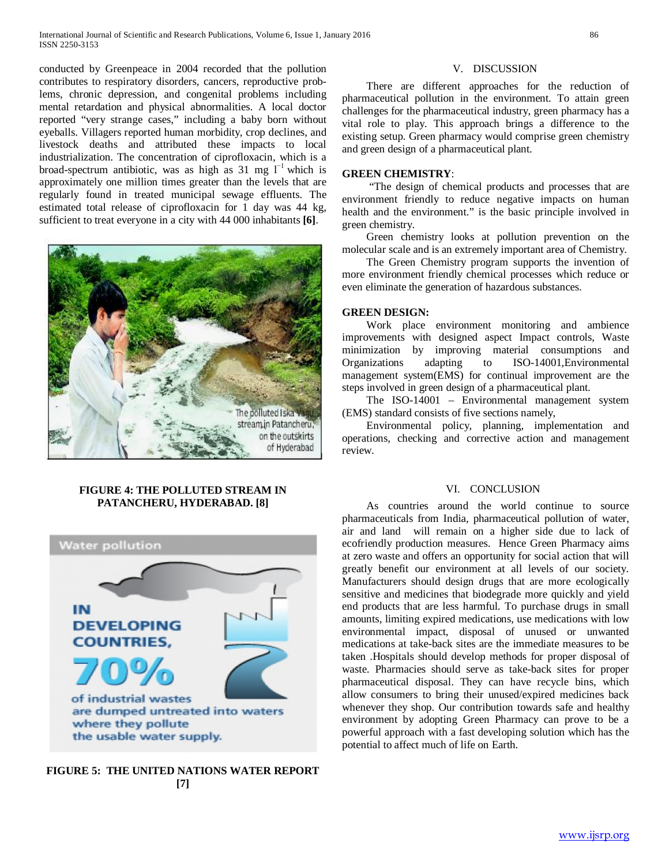conducted by Greenpeace in 2004 recorded that the pollution contributes to respiratory disorders, cancers, reproductive problems, chronic depression, and congenital problems including mental retardation and physical abnormalities. A local doctor reported "very strange cases," including a baby born without eyeballs. Villagers reported human morbidity, crop declines, and livestock deaths and attributed these impacts to local industrialization. The concentration of ciprofloxacin, which is a broad-spectrum antibiotic, was as high as 31 mg  $l^{-1}$  which is approximately one million times greater than the levels that are regularly found in treated municipal sewage effluents. The estimated total release of ciprofloxacin for 1 day was 44 kg, sufficient to treat everyone in a city with 44 000 inhabitants **[6]**.



# **FIGURE 4: THE POLLUTED STREAM IN PATANCHERU, HYDERABAD. [8]**



**FIGURE 5: THE UNITED NATIONS WATER REPORT [7]**

#### V. DISCUSSION

 There are different approaches for the reduction of pharmaceutical pollution in the environment. To attain green challenges for the pharmaceutical industry, green pharmacy has a vital role to play. This approach brings a difference to the existing setup. Green pharmacy would comprise green chemistry and green design of a pharmaceutical plant.

## **GREEN CHEMISTRY**:

 "The design of chemical products and processes that are environment friendly to reduce negative impacts on human health and the environment." is the basic principle involved in green chemistry.

 Green chemistry looks at pollution prevention on the molecular scale and is an extremely important area of Chemistry.

 The Green Chemistry program supports the invention of more environment friendly chemical processes which reduce or even eliminate the generation of hazardous substances.

# **GREEN DESIGN:**

 Work place environment monitoring and ambience improvements with designed aspect Impact controls, Waste minimization by improving material consumptions and Organizations adapting to ISO-14001,Environmental management system(EMS) for continual improvement are the steps involved in green design of a pharmaceutical plant.

 The ISO-14001 – Environmental management system (EMS) standard consists of five sections namely,

 Environmental policy, planning, implementation and operations, checking and corrective action and management review.

## VI. CONCLUSION

 As countries around the world continue to source pharmaceuticals from India, pharmaceutical pollution of water, air and land will remain on a higher side due to lack of ecofriendly production measures. Hence Green Pharmacy aims at zero waste and offers an opportunity for social action that will greatly benefit our environment at all levels of our society. Manufacturers should design drugs that are more ecologically sensitive and medicines that biodegrade more quickly and yield end products that are less harmful. To purchase drugs in small amounts, limiting expired medications, use medications with low environmental impact, disposal of unused or unwanted medications at take-back sites are the immediate measures to be taken .Hospitals should develop methods for proper disposal of waste. Pharmacies should serve as take-back sites for proper pharmaceutical disposal. They can have recycle bins, which allow consumers to bring their unused/expired medicines back whenever they shop. Our contribution towards safe and healthy environment by adopting Green Pharmacy can prove to be a powerful approach with a fast developing solution which has the potential to affect much of life on Earth.